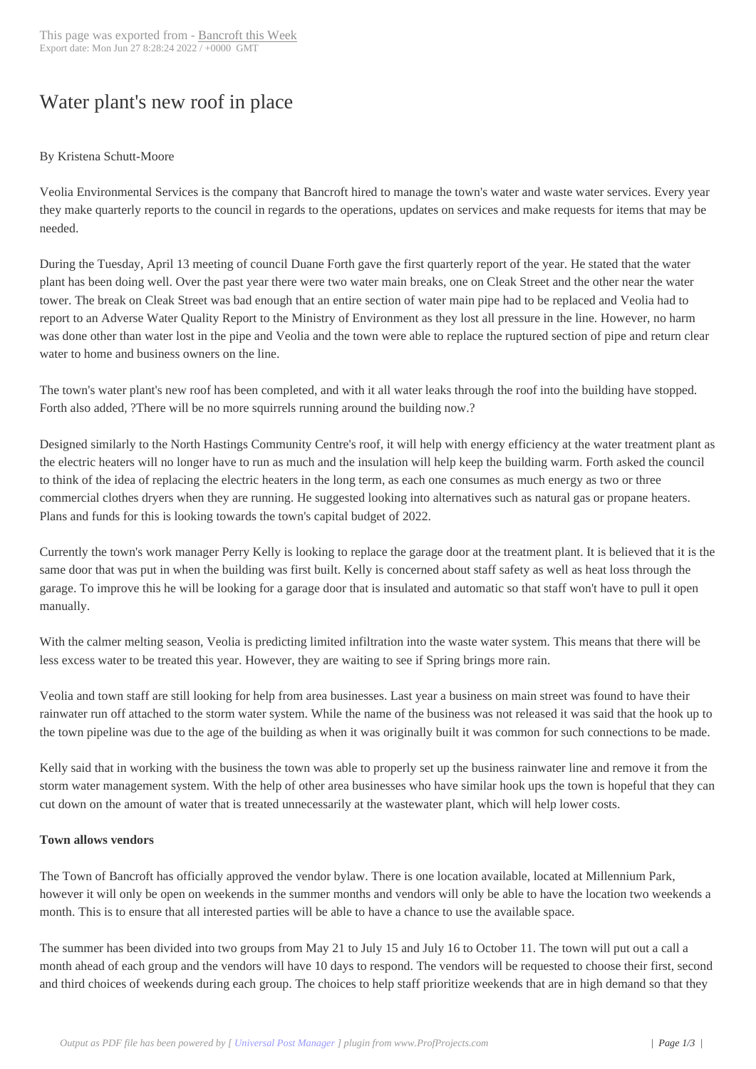## Water plant's new r[oof in place](http://www.bancroftthisweek.com/?p=11503)

## By Kristena Schutt-Moore

Veolia Environmental Services is the company that Bancroft hired to manage the town's water and waste water services. Every year they make quarterly reports to the council in regards to the operations, updates on services and make requests for items that may be needed.

During the Tuesday, April 13 meeting of council Duane Forth gave the first quarterly report of the year. He stated that the water plant has been doing well. Over the past year there were two water main breaks, one on Cleak Street and the other near the water tower. The break on Cleak Street was bad enough that an entire section of water main pipe had to be replaced and Veolia had to report to an Adverse Water Quality Report to the Ministry of Environment as they lost all pressure in the line. However, no harm was done other than water lost in the pipe and Veolia and the town were able to replace the ruptured section of pipe and return clear water to home and business owners on the line.

The town's water plant's new roof has been completed, and with it all water leaks through the roof into the building have stopped. Forth also added, ?There will be no more squirrels running around the building now.?

Designed similarly to the North Hastings Community Centre's roof, it will help with energy efficiency at the water treatment plant as the electric heaters will no longer have to run as much and the insulation will help keep the building warm. Forth asked the council to think of the idea of replacing the electric heaters in the long term, as each one consumes as much energy as two or three commercial clothes dryers when they are running. He suggested looking into alternatives such as natural gas or propane heaters. Plans and funds for this is looking towards the town's capital budget of 2022.

Currently the town's work manager Perry Kelly is looking to replace the garage door at the treatment plant. It is believed that it is the same door that was put in when the building was first built. Kelly is concerned about staff safety as well as heat loss through the garage. To improve this he will be looking for a garage door that is insulated and automatic so that staff won't have to pull it open manually.

With the calmer melting season, Veolia is predicting limited infiltration into the waste water system. This means that there will be less excess water to be treated this year. However, they are waiting to see if Spring brings more rain.

Veolia and town staff are still looking for help from area businesses. Last year a business on main street was found to have their rainwater run off attached to the storm water system. While the name of the business was not released it was said that the hook up to the town pipeline was due to the age of the building as when it was originally built it was common for such connections to be made.

Kelly said that in working with the business the town was able to properly set up the business rainwater line and remove it from the storm water management system. With the help of other area businesses who have similar hook ups the town is hopeful that they can cut down on the amount of water that is treated unnecessarily at the wastewater plant, which will help lower costs.

## **Town allows vendors**

The Town of Bancroft has officially approved the vendor bylaw. There is one location available, located at Millennium Park, however it will only be open on weekends in the summer months and vendors will only be able to have the location two weekends a month. This is to ensure that all interested parties will be able to have a chance to use the available space.

The summer has been divided into two groups from May 21 to July 15 and July 16 to October 11. The town will put out a call a month ahead of each group and the vendors will have 10 days to respond. The vendors will be requested to choose their first, second and third choices of weekends during each group. The choices to help staff prioritize weekends that are in high demand so that they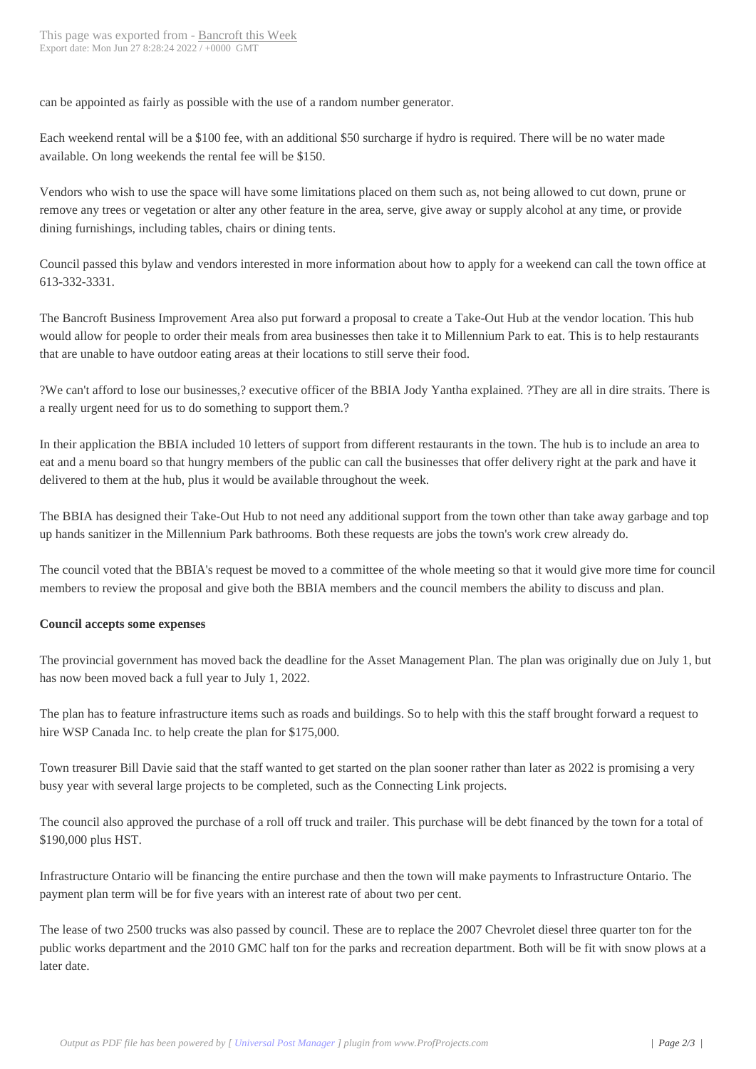can be appointed as fairly as p[ossible with the use o](http://www.bancroftthisweek.com/?p=11503)f a random number generator.

Each weekend rental will be a \$100 fee, with an additional \$50 surcharge if hydro is required. There will be no water made available. On long weekends the rental fee will be \$150.

Vendors who wish to use the space will have some limitations placed on them such as, not being allowed to cut down, prune or remove any trees or vegetation or alter any other feature in the area, serve, give away or supply alcohol at any time, or provide dining furnishings, including tables, chairs or dining tents.

Council passed this bylaw and vendors interested in more information about how to apply for a weekend can call the town office at 613-332-3331.

The Bancroft Business Improvement Area also put forward a proposal to create a Take-Out Hub at the vendor location. This hub would allow for people to order their meals from area businesses then take it to Millennium Park to eat. This is to help restaurants that are unable to have outdoor eating areas at their locations to still serve their food.

?We can't afford to lose our businesses,? executive officer of the BBIA Jody Yantha explained. ?They are all in dire straits. There is a really urgent need for us to do something to support them.?

In their application the BBIA included 10 letters of support from different restaurants in the town. The hub is to include an area to eat and a menu board so that hungry members of the public can call the businesses that offer delivery right at the park and have it delivered to them at the hub, plus it would be available throughout the week.

The BBIA has designed their Take-Out Hub to not need any additional support from the town other than take away garbage and top up hands sanitizer in the Millennium Park bathrooms. Both these requests are jobs the town's work crew already do.

The council voted that the BBIA's request be moved to a committee of the whole meeting so that it would give more time for council members to review the proposal and give both the BBIA members and the council members the ability to discuss and plan.

## **Council accepts some expenses**

The provincial government has moved back the deadline for the Asset Management Plan. The plan was originally due on July 1, but has now been moved back a full year to July 1, 2022.

The plan has to feature infrastructure items such as roads and buildings. So to help with this the staff brought forward a request to hire WSP Canada Inc. to help create the plan for \$175,000.

Town treasurer Bill Davie said that the staff wanted to get started on the plan sooner rather than later as 2022 is promising a very busy year with several large projects to be completed, such as the Connecting Link projects.

The council also approved the purchase of a roll off truck and trailer. This purchase will be debt financed by the town for a total of \$190,000 plus HST.

Infrastructure Ontario will be financing the entire purchase and then the town will make payments to Infrastructure Ontario. The payment plan term will be for five years with an interest rate of about two per cent.

The lease of two 2500 trucks was also passed by council. These are to replace the 2007 Chevrolet diesel three quarter ton for the public works department and the 2010 GMC half ton for the parks and recreation department. Both will be fit with snow plows at a later date.